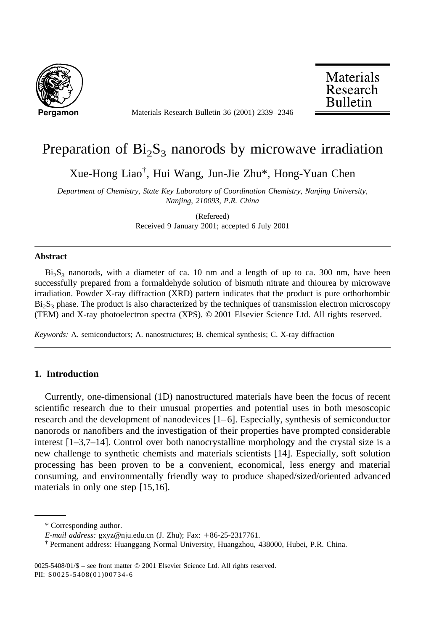

**Pergamon** Materials Research Bulletin 36 (2001) 2339–2346

**Materials** Research **Bulletin** 

# Preparation of  $Bi<sub>2</sub>S<sub>3</sub>$  nanorods by microwave irradiation

Xue-Hong Liao† , Hui Wang, Jun-Jie Zhu\*, Hong-Yuan Chen

*Department of Chemistry, State Key Laboratory of Coordination Chemistry, Nanjing University, Nanjing, 210093, P.R. China*

> (Refereed) Received 9 January 2001; accepted 6 July 2001

#### **Abstract**

 $Bi<sub>2</sub>S<sub>3</sub>$  nanorods, with a diameter of ca. 10 nm and a length of up to ca. 300 nm, have been successfully prepared from a formaldehyde solution of bismuth nitrate and thiourea by microwave irradiation. Powder X-ray diffraction (XRD) pattern indicates that the product is pure orthorhombic Bi<sub>2</sub>S<sub>3</sub> phase. The product is also characterized by the techniques of transmission electron microscopy (TEM) and X-ray photoelectron spectra (XPS). © 2001 Elsevier Science Ltd. All rights reserved.

*Keywords:* A. semiconductors; A. nanostructures; B. chemical synthesis; C. X-ray diffraction

# **1. Introduction**

Currently, one-dimensional (1D) nanostructured materials have been the focus of recent scientific research due to their unusual properties and potential uses in both mesoscopic research and the development of nanodevices  $[1-6]$ . Especially, synthesis of semiconductor nanorods or nanofibers and the investigation of their properties have prompted considerable interest [1–3,7–14]. Control over both nanocrystalline morphology and the crystal size is a new challenge to synthetic chemists and materials scientists [14]. Especially, soft solution processing has been proven to be a convenient, economical, less energy and material consuming, and environmentally friendly way to produce shaped/sized/oriented advanced materials in only one step [15,16].

<sup>\*</sup> Corresponding author.

*E-mail address:* gxyz@nju.edu.cn (J. Zhu); Fax: +86-25-2317761.

<sup>†</sup> Permanent address: Huanggang Normal University, Huangzhou, 438000, Hubei, P.R. China.

<sup>0025-5408/01/\$ –</sup> see front matter © 2001 Elsevier Science Ltd. All rights reserved. PII: S0025-5408(01)00734-6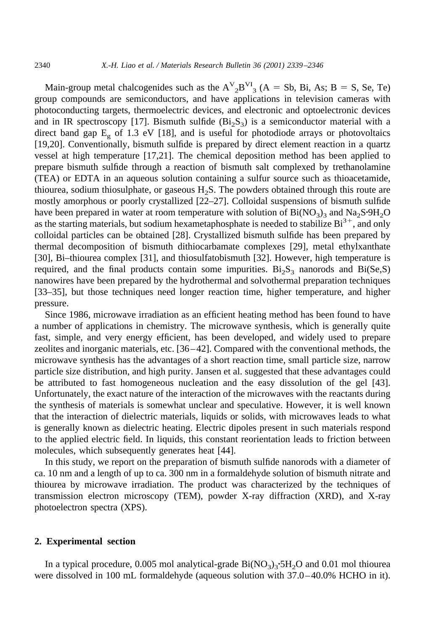Main-group metal chalcogenides such as the  $A^V_{2}B^{VI}_{3}$  (A = Sb, Bi, As; B = S, Se, Te) group compounds are semiconductors, and have applications in television cameras with photoconducting targets, thermoelectric devices, and electronic and optoelectronic devices and in IR spectroscopy [17]. Bismuth sulfide  $(Bi<sub>2</sub>S<sub>3</sub>)$  is a semiconductor material with a direct band gap  $E<sub>g</sub>$  of 1.3 eV [18], and is useful for photodiode arrays or photovoltaics [19,20]. Conventionally, bismuth sulfide is prepared by direct element reaction in a quartz vessel at high temperature [17,21]. The chemical deposition method has been applied to prepare bismuth sulfide through a reaction of bismuth salt complexed by trethanolamine (TEA) or EDTA in an aqueous solution containing a sulfur source such as thioacetamide, thiourea, sodium thiosulphate, or gaseous  $H_2S$ . The powders obtained through this route are mostly amorphous or poorly crystallized [22–27]. Colloidal suspensions of bismuth sulfide have been prepared in water at room temperature with solution of  $Bi(NO<sub>3</sub>)<sub>3</sub>$  and  $Na<sub>2</sub>S<sup>6</sup>9H<sub>2</sub>O$ as the starting materials, but sodium hexametaphosphate is needed to stabilize  $Bi^{3+}$ , and only colloidal particles can be obtained [28]. Crystallized bismuth sulfide has been prepared by thermal decomposition of bismuth dithiocarbamate complexes [29], metal ethylxanthate [30], Bi–thiourea complex [31], and thiosulfatobismuth [32]. However, high temperature is required, and the final products contain some impurities.  $Bi_2S_3$  nanorods and  $Bi(Se, S)$ nanowires have been prepared by the hydrothermal and solvothermal preparation techniques [33–35], but those techniques need longer reaction time, higher temperature, and higher pressure.

Since 1986, microwave irradiation as an efficient heating method has been found to have a number of applications in chemistry. The microwave synthesis, which is generally quite fast, simple, and very energy efficient, has been developed, and widely used to prepare zeolites and inorganic materials, etc. [36–42]. Compared with the conventional methods, the microwave synthesis has the advantages of a short reaction time, small particle size, narrow particle size distribution, and high purity. Jansen et al. suggested that these advantages could be attributed to fast homogeneous nucleation and the easy dissolution of the gel [43]. Unfortunately, the exact nature of the interaction of the microwaves with the reactants during the synthesis of materials is somewhat unclear and speculative. However, it is well known that the interaction of dielectric materials, liquids or solids, with microwaves leads to what is generally known as dielectric heating. Electric dipoles present in such materials respond to the applied electric field. In liquids, this constant reorientation leads to friction between molecules, which subsequently generates heat [44].

In this study, we report on the preparation of bismuth sulfide nanorods with a diameter of ca. 10 nm and a length of up to ca. 300 nm in a formaldehyde solution of bismuth nitrate and thiourea by microwave irradiation. The product was characterized by the techniques of transmission electron microscopy (TEM), powder X-ray diffraction (XRD), and X-ray photoelectron spectra (XPS).

# **2. Experimental section**

In a typical procedure, 0.005 mol analytical-grade  $Bi(NO<sub>3</sub>)<sub>3</sub>$ :5H<sub>2</sub>O and 0.01 mol thiourea were dissolved in 100 mL formaldehyde (aqueous solution with 37.0–40.0% HCHO in it).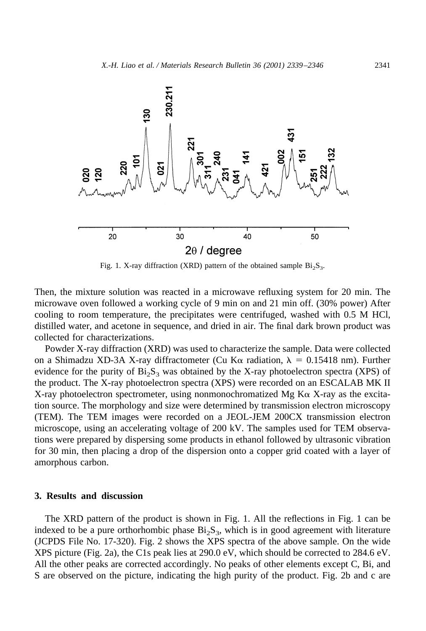

Fig. 1. X-ray diffraction (XRD) pattern of the obtained sample  $Bi_2S_3$ .

Then, the mixture solution was reacted in a microwave refluxing system for 20 min. The microwave oven followed a working cycle of 9 min on and 21 min off. (30% power) After cooling to room temperature, the precipitates were centrifuged, washed with 0.5 M HCl, distilled water, and acetone in sequence, and dried in air. The final dark brown product was collected for characterizations.

Powder X-ray diffraction (XRD) was used to characterize the sample. Data were collected on a Shimadzu XD-3A X-ray diffractometer (Cu K $\alpha$  radiation,  $\lambda = 0.15418$  nm). Further evidence for the purity of  $Bi<sub>2</sub>S<sub>3</sub>$  was obtained by the X-ray photoelectron spectra (XPS) of the product. The X-ray photoelectron spectra (XPS) were recorded on an ESCALAB MK II X-ray photoelectron spectrometer, using nonmonochromatized Mg  $K\alpha$  X-ray as the excitation source. The morphology and size were determined by transmission electron microscopy (TEM). The TEM images were recorded on a JEOL-JEM 200CX transmission electron microscope, using an accelerating voltage of 200 kV. The samples used for TEM observations were prepared by dispersing some products in ethanol followed by ultrasonic vibration for 30 min, then placing a drop of the dispersion onto a copper grid coated with a layer of amorphous carbon.

#### **3. Results and discussion**

The XRD pattern of the product is shown in Fig. 1. All the reflections in Fig. 1 can be indexed to be a pure orthorhombic phase  $Bi_2S_3$ , which is in good agreement with literature (JCPDS File No. 17-320). Fig. 2 shows the XPS spectra of the above sample. On the wide XPS picture (Fig. 2a), the C1s peak lies at 290.0 eV, which should be corrected to 284.6 eV. All the other peaks are corrected accordingly. No peaks of other elements except C, Bi, and S are observed on the picture, indicating the high purity of the product. Fig. 2b and c are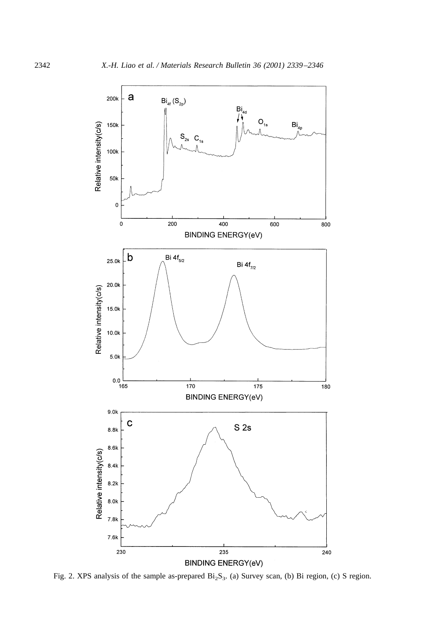

Fig. 2. XPS analysis of the sample as-prepared  $Bi_2S_3$ . (a) Survey scan, (b) Bi region, (c) S region.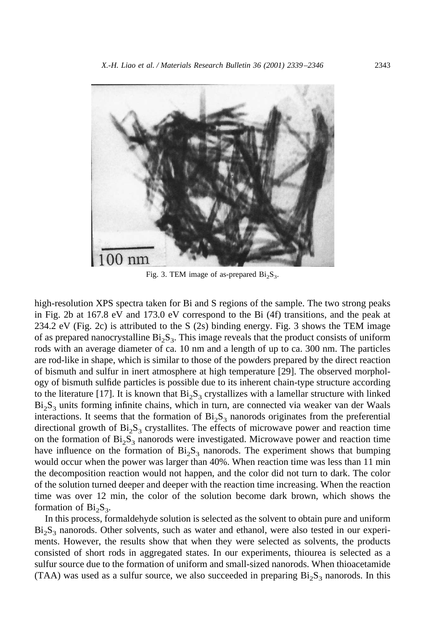

Fig. 3. TEM image of as-prepared  $Bi_2S_3$ .

high-resolution XPS spectra taken for Bi and S regions of the sample. The two strong peaks in Fig. 2b at 167.8 eV and 173.0 eV correspond to the Bi (4f) transitions, and the peak at 234.2 eV (Fig. 2c) is attributed to the S (2s) binding energy. Fig. 3 shows the TEM image of as prepared nanocrystalline  $Bi_2S_3$ . This image reveals that the product consists of uniform rods with an average diameter of ca. 10 nm and a length of up to ca. 300 nm. The particles are rod-like in shape, which is similar to those of the powders prepared by the direct reaction of bismuth and sulfur in inert atmosphere at high temperature [29]. The observed morphology of bismuth sulfide particles is possible due to its inherent chain-type structure according to the literature [17]. It is known that  $Bi_2S_3$  crystallizes with a lamellar structure with linked  $Bi<sub>2</sub>S<sub>3</sub>$  units forming infinite chains, which in turn, are connected via weaker van der Waals interactions. It seems that the formation of  $Bi<sub>2</sub>S<sub>3</sub>$  nanorods originates from the preferential directional growth of  $Bi<sub>2</sub>S<sub>3</sub>$  crystallites. The effects of microwave power and reaction time on the formation of  $Bi<sub>2</sub>S<sub>3</sub>$  nanorods were investigated. Microwave power and reaction time have influence on the formation of  $Bi<sub>2</sub>S<sub>3</sub>$  nanorods. The experiment shows that bumping would occur when the power was larger than 40%. When reaction time was less than 11 min the decomposition reaction would not happen, and the color did not turn to dark. The color of the solution turned deeper and deeper with the reaction time increasing. When the reaction time was over 12 min, the color of the solution become dark brown, which shows the formation of  $Bi_2S_3$ .

In this process, formaldehyde solution is selected as the solvent to obtain pure and uniform  $Bi<sub>2</sub>S<sub>3</sub>$  nanorods. Other solvents, such as water and ethanol, were also tested in our experiments. However, the results show that when they were selected as solvents, the products consisted of short rods in aggregated states. In our experiments, thiourea is selected as a sulfur source due to the formation of uniform and small-sized nanorods. When thioacetamide (TAA) was used as a sulfur source, we also succeeded in preparing  $Bi_2S_3$  nanorods. In this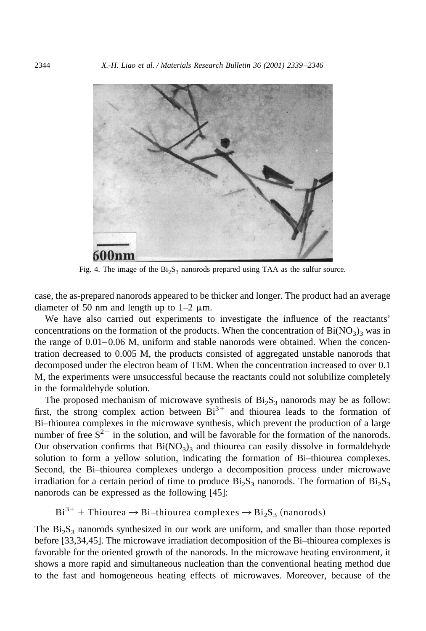

Fig. 4. The image of the  $Bi_2S_3$  nanorods prepared using TAA as the sulfur source.

case, the as-prepared nanorods appeared to be thicker and longer. The product had an average diameter of 50 nm and length up to  $1-2 \mu m$ .

We have also carried out experiments to investigate the influence of the reactants' concentrations on the formation of the products. When the concentration of  $Bi(NO<sub>3</sub>)<sub>3</sub>$  was in the range of 0.01–0.06 M, uniform and stable nanorods were obtained. When the concentration decreased to 0.005 M, the products consisted of aggregated unstable nanorods that decomposed under the electron beam of TEM. When the concentration increased to over 0.1 M, the experiments were unsuccessful because the reactants could not solubilize completely in the formaldehyde solution.

The proposed mechanism of microwave synthesis of  $Bi<sub>2</sub>S<sub>3</sub>$  nanorods may be as follow: first, the strong complex action between  $Bi^{3+}$  and thiourea leads to the formation of Bi–thiourea complexes in the microwave synthesis, which prevent the production of a large number of free  $S^{2-}$  in the solution, and will be favorable for the formation of the nanorods. Our observation confirms that  $Bi(NO<sub>3</sub>)<sub>3</sub>$  and thiourea can easily dissolve in formaldehyde solution to form a yellow solution, indicating the formation of Bi–thiourea complexes. Second, the Bi–thiourea complexes undergo a decomposition process under microwave irradiation for a certain period of time to produce  $Bi_2S_3$  nanorods. The formation of  $Bi_2S_3$ nanorods can be expressed as the following [45]:

 $Bi^{3+}$  + Thiourea  $\rightarrow$  Bi–thiourea complexes  $\rightarrow$  Bi<sub>2</sub>S<sub>3</sub> (nanorods)

The  $Bi<sub>2</sub>S<sub>3</sub>$  nanorods synthesized in our work are uniform, and smaller than those reported before [33,34,45]. The microwave irradiation decomposition of the Bi–thiourea complexes is favorable for the oriented growth of the nanorods. In the microwave heating environment, it shows a more rapid and simultaneous nucleation than the conventional heating method due to the fast and homogeneous heating effects of microwaves. Moreover, because of the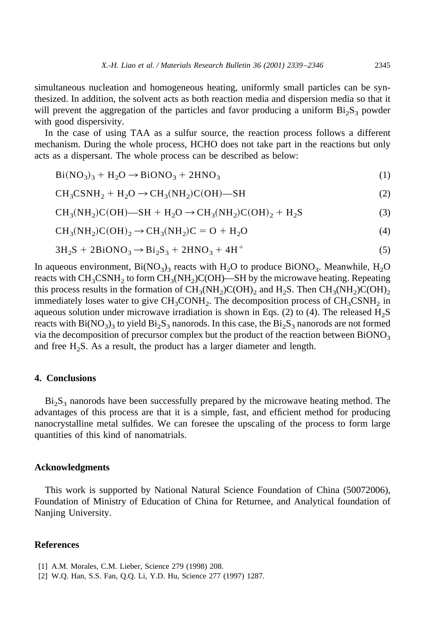simultaneous nucleation and homogeneous heating, uniformly small particles can be synthesized. In addition, the solvent acts as both reaction media and dispersion media so that it will prevent the aggregation of the particles and favor producing a uniform  $Bi_2S_3$  powder with good dispersivity.

In the case of using TAA as a sulfur source, the reaction process follows a different mechanism. During the whole process, HCHO does not take part in the reactions but only acts as a dispersant. The whole process can be described as below:

$$
Bi(NO3)3 + H2O \rightarrow BiONO3 + 2HNO3
$$
 (1)

$$
CH3CSNH2 + H2O \rightarrow CH3(NH2)C(OH) - SH
$$
 (2)

$$
CH3(NH2)C(OH) - SH + H2O \rightarrow CH3(NH2)C(OH)2 + H2S
$$
\n(3)

$$
CH3(NH2)C(OH)2 \rightarrow CH3(NH2)C = O + H2O
$$
\n(4)

$$
3H_2S + 2BiONO_3 \rightarrow Bi_2S_3 + 2HNO_3 + 4H^+ \tag{5}
$$

In aqueous environment,  $Bi(NO<sub>3</sub>)<sub>3</sub>$  reacts with  $H<sub>2</sub>O$  to produce  $BiONO<sub>3</sub>$ . Meanwhile,  $H<sub>2</sub>O$ reacts with  $CH_3CSNH_2$  to form  $CH_3(NH_2)C(OH)$ —SH by the microwave heating. Repeating this process results in the formation of  $CH_3(NH_2)C(OH)_2$  and H<sub>2</sub>S. Then  $CH_3(NH_2)C(OH)_2$ immediately loses water to give  $CH_3CONH_2$ . The decomposition process of  $CH_3CSNH_2$  in aqueous solution under microwave irradiation is shown in Eqs. (2) to (4). The released  $H_2S$ reacts with  $Bi(NO<sub>3</sub>)<sub>3</sub>$  to yield  $Bi<sub>2</sub>S<sub>3</sub>$  nanorods. In this case, the  $Bi<sub>2</sub>S<sub>3</sub>$  nanorods are not formed via the decomposition of precursor complex but the product of the reaction between  $BiONO<sub>3</sub>$ and free  $H_2S$ . As a result, the product has a larger diameter and length.

## **4. Conclusions**

 $Bi<sub>2</sub>S<sub>3</sub>$  nanorods have been successfully prepared by the microwave heating method. The advantages of this process are that it is a simple, fast, and efficient method for producing nanocrystalline metal sulfides. We can foresee the upscaling of the process to form large quantities of this kind of nanomatrials.

### **Acknowledgments**

This work is supported by National Natural Science Foundation of China (50072006), Foundation of Ministry of Education of China for Returnee, and Analytical foundation of Nanjing University.

## **References**

<sup>[1]</sup> A.M. Morales, C.M. Lieber, Science 279 (1998) 208.

<sup>[2]</sup> W.Q. Han, S.S. Fan, Q.Q. Li, Y.D. Hu, Science 277 (1997) 1287.